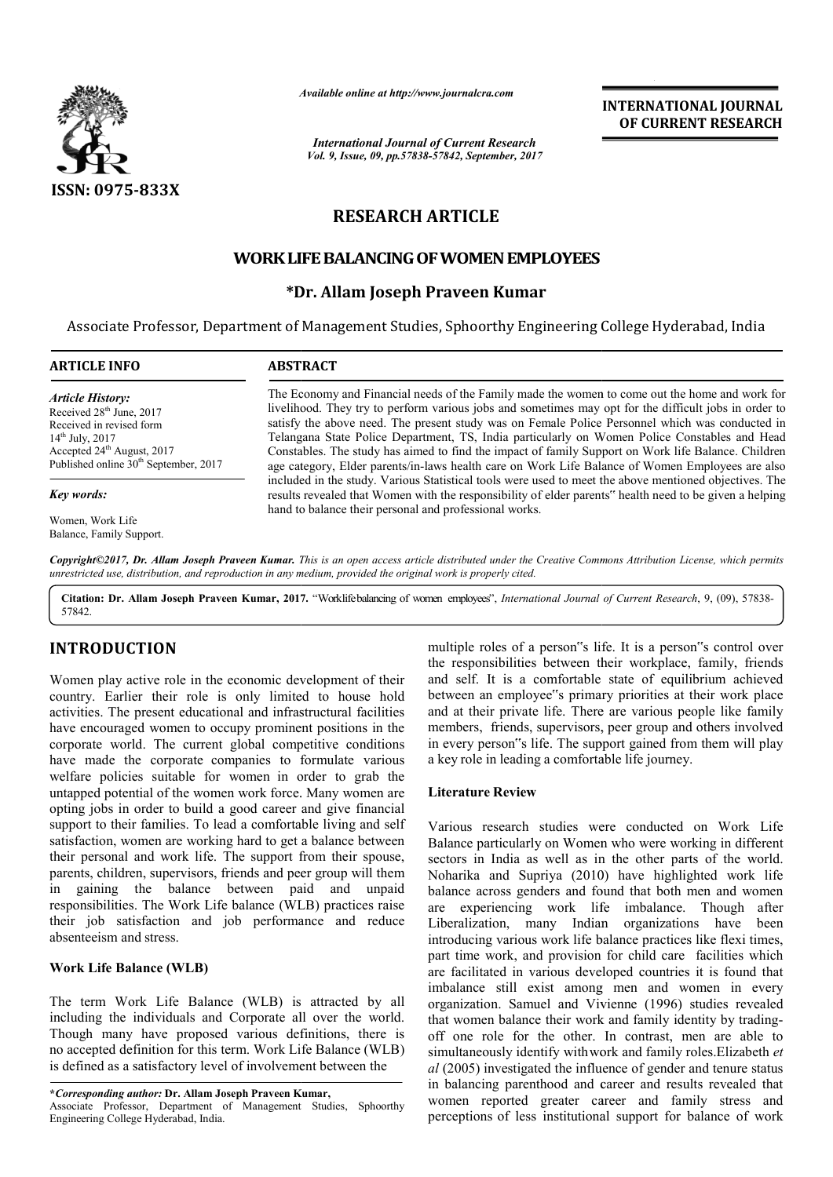

*Available online at http://www.journal http://www.journalcra.com*

*International Journal of Current Research Vol. 9, Issue, 09, pp.57838-57842, September, 2017* **INTERNATIONAL JOURNAL OF CURRENT RESEARCH** 

# **RESEARCH ARTICLE**

# **WORKLIFE LIFEBALANCING OF WOMEN EMPLOYEES**

# **\*Dr. Allam Joseph Praveen Kumar**

Associate Professor, Department of Management Studies, Sphoorthy Engineering College Hyderabad, India

| <b>ARTICLE INFO</b>                                                                                                                                                                                                | <b>ABSTRACT</b>                                                                                                                                                                                                                                                                                                                                                                                                                                                                                                                                                                                                        |
|--------------------------------------------------------------------------------------------------------------------------------------------------------------------------------------------------------------------|------------------------------------------------------------------------------------------------------------------------------------------------------------------------------------------------------------------------------------------------------------------------------------------------------------------------------------------------------------------------------------------------------------------------------------------------------------------------------------------------------------------------------------------------------------------------------------------------------------------------|
| <b>Article History:</b><br>Received 28 <sup>th</sup> June, 2017<br>Received in revised form<br>$14^{th}$ July, 2017<br>Accepted 24 <sup>th</sup> August, 2017<br>Published online 30 <sup>th</sup> September, 2017 | The Economy and Financial needs of the Family made the women to come out the home and work for<br>livelihood. They try to perform various jobs and sometimes may opt for the difficult jobs in order to<br>satisfy the above need. The present study was on Female Police Personnel which was conducted in<br>Telangana State Police Department, TS, India particularly on Women Police Constables and Head<br>Constables. The study has aimed to find the impact of family Support on Work life Balance. Children<br>age category, Elder parents/in-laws health care on Work Life Balance of Women Employees are also |
| Key words:<br>Women, Work Life                                                                                                                                                                                     | included in the study. Various Statistical tools were used to meet the above mentioned objectives. The<br>results revealed that Women with the responsibility of elder parents" health need to be given a helping<br>hand to balance their personal and professional works.                                                                                                                                                                                                                                                                                                                                            |
| Balance, Family Support.                                                                                                                                                                                           |                                                                                                                                                                                                                                                                                                                                                                                                                                                                                                                                                                                                                        |

Copyright©2017, Dr. Allam Joseph Praveen Kumar. This is an open access article distributed under the Creative Commons Attribution License, which permits *unrestricted use, distribution, and reproduction in any medium, provided the original work is properly cited.*

Citation: Dr. Allam Joseph Praveen Kumar, 2017. "Worklifebalancing of women employees", *International Journal of Current Research*, 9, (09), 57838-57842.

# **INTRODUCTION**

Women play active role in the economic development of their country. Earlier their role is only limited to house hold activities. The present educational and infrastructural facilities have encouraged women to occupy prominent positions in the corporate world. The current global competitive conditions have made the corporate companies to formulate various welfare policies suitable for women in order to grab the untapped potential of the women work force. Many women are opting jobs in order to build a good career and give financial support to their families. To lead a comfortable living and self satisfaction, women are working hard to get a balance between their personal and work life. The support from their spouse, parents, children, supervisors, friends and peer group will them in gaining the balance between paid and unpaid responsibilities. The Work Life balance (WLB) practices raise their job satisfaction and job performance and reduce absenteeism and stress. ial of the women work force. Many women are<br>order to build a good career and give financial<br>families. To lead a comfortable living and self<br>men are working hard to get a balance between<br>nd work life. The support from their

# **Work Life Balance (WLB)**

The term Work Life Balance (WLB) is attracted by all including the individuals and Corporate all over the world. Though many have proposed various definitions, there is no accepted definition for this term. Work Life Balance (WLB) is defined as a satisfactory level of involvement between the

**\****Corresponding author:* **Dr. Allam Joseph Praveen Kumar,** Associate Professor, Department of Management Studies, Sphoorthy Engineering College Hyderabad, India.

multiple roles of a person"s life. It is a person"s control over multiple roles of a person"s life. It is a person"s control over the responsibilities between their workplace, family, friends and self. It is a comfortable state of equilibrium achieved and self. It is a comfortable state of equilibrium achieved<br>between an employee"s primary priorities at their work place and at their private life. There are various people like family members, friends, supervisors, peer group and others involved in every person"s life. The support gained from them will play a key role in leading a comfortable life journey. r private life. There are various people like famil<br>friends, supervisors, peer group and others involve<br>rson"s life. The support gained from them will pla

# **Literature Review**

Various research studies were conducted on Work Life Balance particularly on Women who were working in different sectors in India as well as in the other parts of the world. Noharika and Supriya (2010) have highlighted work lif balance across genders and found that both men and women are experiencing work life imbalance. Though after Liberalization, many Indian organizations have been introducing various work life balance practices like flexi times, part time work, and provision for child care facilities which are facilitated in various developed countries it is found that imbalance still exist among men and women in every organization. Samuel and Vivienne (1996) studies revealed that women balance their work and family identit off one role for the other. In contrast, men are able to off one role for the other. In contrast, men are able to simultaneously identify with work and family roles.Elizabeth *et al* (2005) investigated the influence of gender and tenure status in balancing parenthood and career and results revealed that women reported greater career and family stress and perceptions of less institutional support for balance of work research studies were conducted on Work Life<br>particularly on Women who were working in different<br>in India as well as in the other parts of the world.<br>a and Supriya (2010) have highlighted work life introducing various work life balance practices like flexi times, part time work, and provision for child care facilities which are facilitated in various developed countries it is found that imbalance still exist among me **EXERVATIONAL JOURNAL CONDUCT CONDUCT CONDUCT CONDUCT CONDUCT CONDUCT CONDUCT CONDUCT CONDUCT CONDUCT CONDUCT CONDUCT CONDUCT CONDUCT CONDUCT CONDUCT CONDUCT CONDUCT CONDUCT CONDUCT CONDUCT CONDUCT CONDUCT CONDUCT CONDUCT**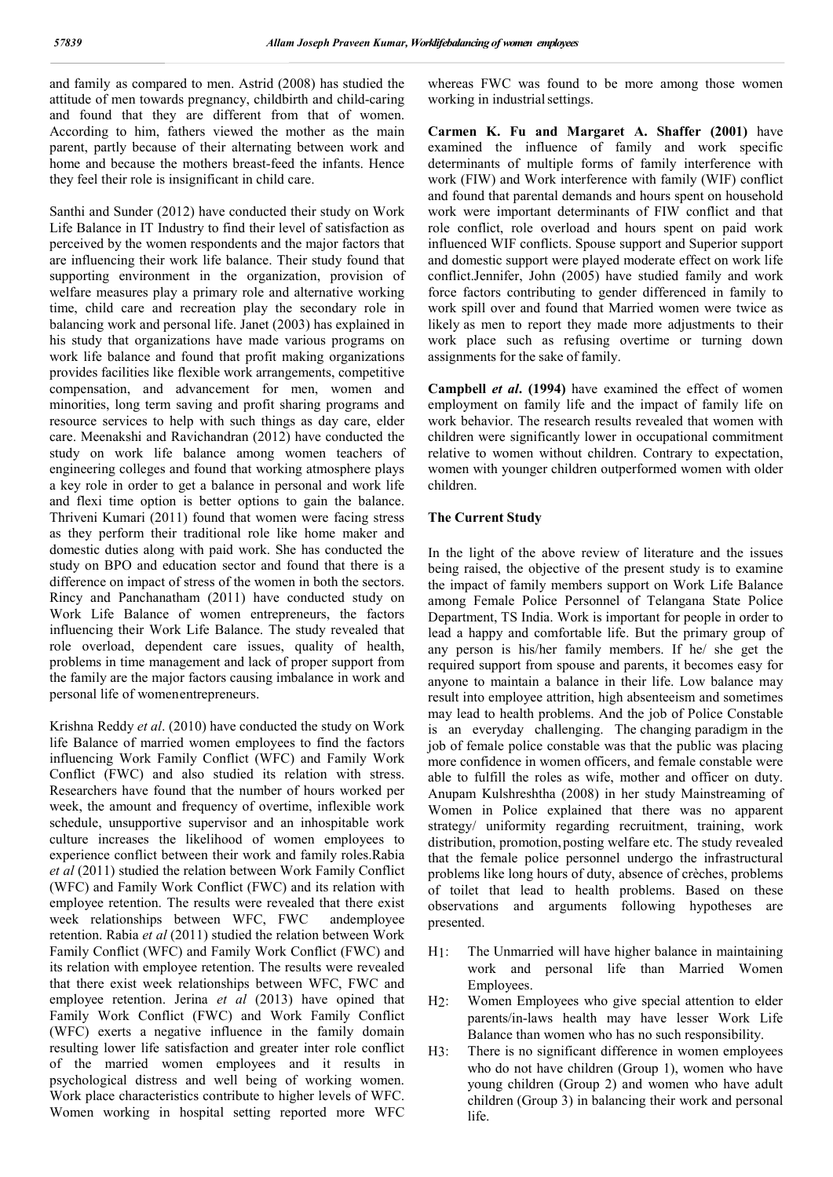and family as compared to men. Astrid (2008) has studied the attitude of men towards pregnancy, childbirth and child-caring and found that they are different from that of women. According to him, fathers viewed the mother as the main parent, partly because of their alternating between work and home and because the mothers breast-feed the infants. Hence they feel their role is insignificant in child care.

Santhi and Sunder (2012) have conducted their study on Work Life Balance in IT Industry to find their level of satisfaction as perceived by the women respondents and the major factors that are influencing their work life balance. Their study found that supporting environment in the organization, provision of welfare measures play a primary role and alternative working time, child care and recreation play the secondary role in balancing work and personal life. Janet (2003) has explained in his study that organizations have made various programs on work life balance and found that profit making organizations provides facilities like flexible work arrangements, competitive compensation, and advancement for men, women and minorities, long term saving and profit sharing programs and resource services to help with such things as day care, elder care. Meenakshi and Ravichandran (2012) have conducted the study on work life balance among women teachers of engineering colleges and found that working atmosphere plays a key role in order to get a balance in personal and work life and flexi time option is better options to gain the balance. Thriveni Kumari (2011) found that women were facing stress as they perform their traditional role like home maker and domestic duties along with paid work. She has conducted the study on BPO and education sector and found that there is a difference on impact of stress of the women in both the sectors. Rincy and Panchanatham (2011) have conducted study on Work Life Balance of women entrepreneurs, the factors influencing their Work Life Balance. The study revealed that role overload, dependent care issues, quality of health, problems in time management and lack of proper support from the family are the major factors causing imbalance in work and personal life of womenentrepreneurs.

Krishna Reddy *et al*. (2010) have conducted the study on Work life Balance of married women employees to find the factors influencing Work Family Conflict (WFC) and Family Work Conflict (FWC) and also studied its relation with stress. Researchers have found that the number of hours worked per week, the amount and frequency of overtime, inflexible work schedule, unsupportive supervisor and an inhospitable work culture increases the likelihood of women employees to experience conflict between their work and family roles.Rabia *et al* (2011) studied the relation between Work Family Conflict (WFC) and Family Work Conflict (FWC) and its relation with employee retention. The results were revealed that there exist week relationships between WFC, FWC andemployee retention. Rabia *et al* (2011) studied the relation between Work Family Conflict (WFC) and Family Work Conflict (FWC) and its relation with employee retention. The results were revealed that there exist week relationships between WFC, FWC and employee retention. Jerina *et al* (2013) have opined that Family Work Conflict (FWC) and Work Family Conflict (WFC) exerts a negative influence in the family domain resulting lower life satisfaction and greater inter role conflict of the married women employees and it results in psychological distress and well being of working women. Work place characteristics contribute to higher levels of WFC. Women working in hospital setting reported more WFC

whereas FWC was found to be more among those women working in industrial settings.

**Carmen K. Fu and Margaret A. Shaffer (2001)** have examined the influence of family and work specific determinants of multiple forms of family interference with work (FIW) and Work interference with family (WIF) conflict and found that parental demands and hours spent on household work were important determinants of FIW conflict and that role conflict, role overload and hours spent on paid work influenced WIF conflicts. Spouse support and Superior support and domestic support were played moderate effect on work life conflict.Jennifer, John (2005) have studied family and work force factors contributing to gender differenced in family to work spill over and found that Married women were twice as likely as men to report they made more adjustments to their work place such as refusing overtime or turning down assignments for the sake of family.

**Campbell** *et al***. (1994)** have examined the effect of women employment on family life and the impact of family life on work behavior. The research results revealed that women with children were significantly lower in occupational commitment relative to women without children. Contrary to expectation, women with younger children outperformed women with older children.

## **The Current Study**

In the light of the above review of literature and the issues being raised, the objective of the present study is to examine the impact of family members support on Work Life Balance among Female Police Personnel of Telangana State Police Department, TS India. Work is important for people in order to lead a happy and comfortable life. But the primary group of any person is his/her family members. If he/ she get the required support from spouse and parents, it becomes easy for anyone to maintain a balance in their life. Low balance may result into employee attrition, high absenteeism and sometimes may lead to health problems. And the job of Police Constable is an everyday challenging. The changing paradigm in the job of female police constable was that the public was placing more confidence in women officers, and female constable were able to fulfill the roles as wife, mother and officer on duty. Anupam Kulshreshtha (2008) in her study Mainstreaming of Women in Police explained that there was no apparent strategy/ uniformity regarding recruitment, training, work distribution, promotion, posting welfare etc. The study revealed that the female police personnel undergo the infrastructural problems like long hours of duty, absence of crèches, problems of toilet that lead to health problems. Based on these observations and arguments following hypotheses are presented.

- H1: The Unmarried will have higher balance in maintaining work and personal life than Married Women Employees.
- H2: Women Employees who give special attention to elder parents/in-laws health may have lesser Work Life Balance than women who has no such responsibility.
- H3: There is no significant difference in women employees who do not have children (Group 1), women who have young children (Group 2) and women who have adult children (Group 3) in balancing their work and personal life.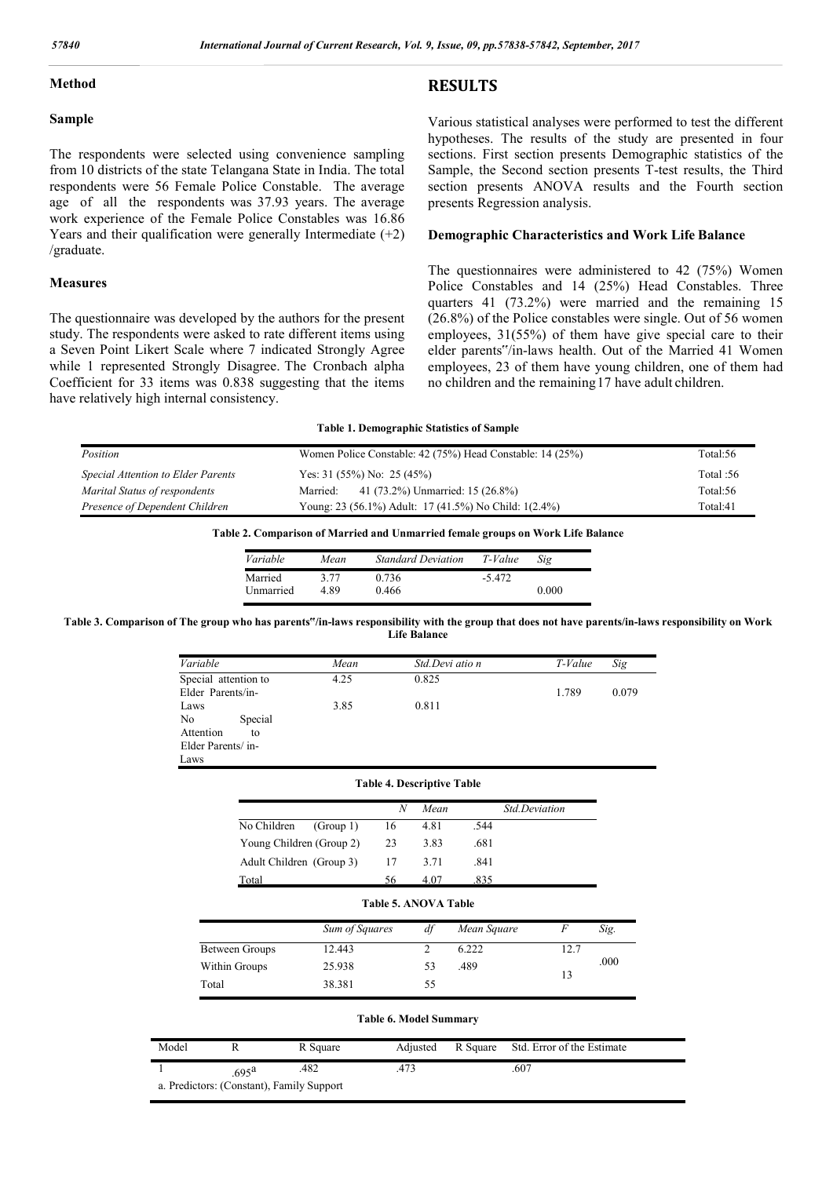## **Method**

#### **Sample**

The respondents were selected using convenience sampling from 10 districts of the state Telangana State in India. The total respondents were 56 Female Police Constable. The average age of all the respondents was 37.93 years. The average work experience of the Female Police Constables was 16.86 Years and their qualification were generally Intermediate  $(+2)$ /graduate.

#### **Measures**

The questionnaire was developed by the authors for the present study. The respondents were asked to rate different items using a Seven Point Likert Scale where 7 indicated Strongly Agree while 1 represented Strongly Disagree. The Cronbach alpha Coefficient for 33 items was 0.838 suggesting that the items have relatively high internal consistency.

# **RESULTS**

Various statistical analyses were performed to test the different hypotheses. The results of the study are presented in four sections. First section presents Demographic statistics of the Sample, the Second section presents T-test results, the Third section presents ANOVA results and the Fourth section presents Regression analysis.

# **Demographic Characteristics and Work Life Balance**

The questionnaires were administered to 42 (75%) Women Police Constables and 14 (25%) Head Constables. Three quarters 41 (73.2%) were married and the remaining 15 (26.8%) of the Police constables were single. Out of 56 women employees, 31(55%) of them have give special care to their elder parents"/in-laws health. Out of the Married 41 Women employees, 23 of them have young children, one of them had no children and the remaining17 have adult children.

#### **Table 1. Demographic Statistics of Sample**

| Position                           | Women Police Constable: 42 (75%) Head Constable: 14 (25%) | Total:56    |
|------------------------------------|-----------------------------------------------------------|-------------|
| Special Attention to Elder Parents | Yes: 31 (55%) No: 25 (45%)                                | Total: $56$ |
| Marital Status of respondents      | 41 (73.2%) Unmarried: 15 (26.8%)<br>Married:              | Total:56    |
| Presence of Dependent Children     | Young: 23 (56.1%) Adult: 17 (41.5%) No Child: 1(2.4%)     | Total:41    |

#### **Table 2. Comparison of Married and Unmarried female groups on Work Life Balance**

| Variable  | Mean | <b>Standard Deviation</b> | T-Value | Sig   |
|-----------|------|---------------------------|---------|-------|
| Married   | 3 77 | 0.736                     | -5 472  |       |
| Unmarried | 4 89 | 0.466                     |         | 0.000 |

**Table 3. Comparison of The group who has parents"/in-laws responsibility with the group that does not have parents/in-laws responsibility on Work Life Balance**

| Variable                 | Mean           |                                   | Std.Devi atio n |             |               | $T$ -Value                 | Sig   |  |
|--------------------------|----------------|-----------------------------------|-----------------|-------------|---------------|----------------------------|-------|--|
| Special attention to     | 4.25           |                                   | 0.825           |             |               |                            |       |  |
| Elder Parents/in-        |                |                                   |                 |             |               | 1.789                      | 0.079 |  |
| Laws                     | 3.85           |                                   | 0.811           |             |               |                            |       |  |
| No<br>Special            |                |                                   |                 |             |               |                            |       |  |
| Attention<br>to          |                |                                   |                 |             |               |                            |       |  |
| Elder Parents/in-        |                |                                   |                 |             |               |                            |       |  |
| Laws                     |                |                                   |                 |             |               |                            |       |  |
|                          |                | <b>Table 4. Descriptive Table</b> |                 |             |               |                            |       |  |
|                          |                | $\boldsymbol{N}$                  | Mean            |             | Std.Deviation |                            |       |  |
| No Children              | (Group 1)      | 16                                | 4.81            | .544        |               |                            |       |  |
| Young Children (Group 2) |                | 23                                | 3.83            | .681        |               |                            |       |  |
| Adult Children (Group 3) |                | 17                                | 3.71            | .841        |               |                            |       |  |
| Total                    |                | 56                                | 4.07            | .835        |               |                            |       |  |
|                          |                | <b>Table 5. ANOVA Table</b>       |                 |             |               |                            |       |  |
|                          | Sum of Squares |                                   | df              | Mean Square |               | $\boldsymbol{F}$           | Sig.  |  |
| Between Groups           | 12.443         |                                   | $\overline{2}$  | 6.222       |               | 12.7                       |       |  |
| Within Groups            | 25.938         |                                   | 53              | .489        |               |                            | .000  |  |
| Total                    | 38.381         |                                   | 55              |             |               | 13                         |       |  |
|                          |                |                                   |                 |             |               |                            |       |  |
|                          |                | <b>Table 6. Model Summary</b>     |                 |             |               |                            |       |  |
| del<br>R                 | R Square       |                                   | Adjusted        | R Square    |               | Std. Error of the Estimate |       |  |

| Model                                     |                    | R Square | Adiusted |  | R Square Std. Error of the Estimate |  |
|-------------------------------------------|--------------------|----------|----------|--|-------------------------------------|--|
|                                           | $695^{\mathrm{a}}$ | .482     | .473     |  | .607                                |  |
| a. Predictors: (Constant), Family Support |                    |          |          |  |                                     |  |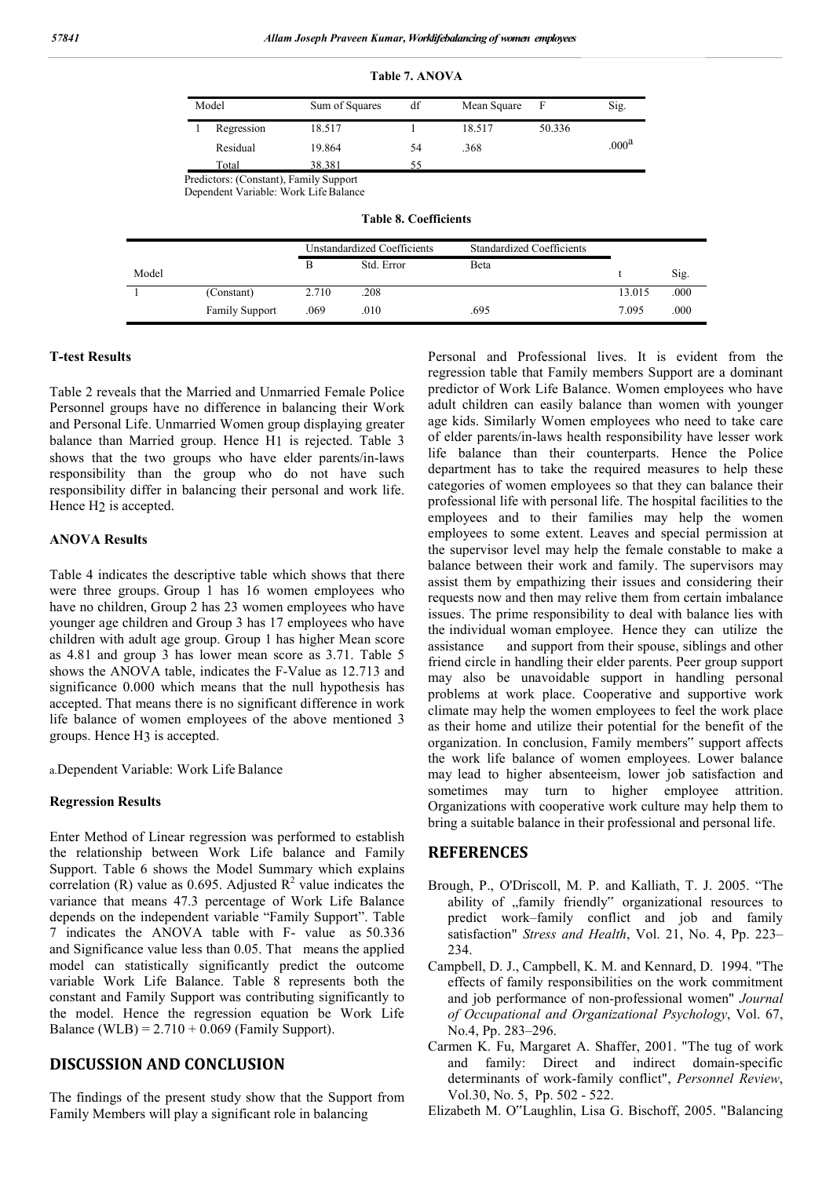| Model      | Sum of Squares | df | Mean Square | F      | Sig.              |  |  |
|------------|----------------|----|-------------|--------|-------------------|--|--|
| Regression | 18.517         |    | 18.517      | 50.336 |                   |  |  |
| Residual   | 19.864         | 54 | .368        |        | .000 <sup>a</sup> |  |  |
| Total      | 38.381         | 55 |             |        |                   |  |  |

**Table 7. ANOVA**

Predictors: (Constant), Family Support

Dependent Variable: Work Life Balance

|       |                       | Unstandardized Coefficients |            | <b>Standardized Coefficients</b> |        |      |
|-------|-----------------------|-----------------------------|------------|----------------------------------|--------|------|
| Model |                       |                             | Std. Error | Beta                             |        | Sig. |
|       | (Constant)            | 2.710                       | .208       |                                  | 13.015 | .000 |
|       | <b>Family Support</b> | .069                        | .010       | .695                             | 7.095  | .000 |

**Table 8. Coefficients**

## **T-test Results**

Table 2 reveals that the Married and Unmarried Female Police Personnel groups have no difference in balancing their Work and Personal Life. Unmarried Women group displaying greater balance than Married group. Hence H1 is rejected. Table 3 shows that the two groups who have elder parents/in-laws responsibility than the group who do not have such responsibility differ in balancing their personal and work life. Hence H2 is accepted.

## **ANOVA Results**

Table 4 indicates the descriptive table which shows that there were three groups. Group 1 has 16 women employees who have no children, Group 2 has 23 women employees who have younger age children and Group 3 has 17 employees who have children with adult age group. Group 1 has higher Mean score as 4.81 and group 3 has lower mean score as 3.71. Table 5 shows the ANOVA table, indicates the F-Value as 12.713 and significance 0.000 which means that the null hypothesis has accepted. That means there is no significant difference in work life balance of women employees of the above mentioned 3 groups. Hence H3 is accepted.

a.Dependent Variable: Work Life Balance

# **Regression Results**

Enter Method of Linear regression was performed to establish the relationship between Work Life balance and Family Support. Table 6 shows the Model Summary which explains correlation (R) value as 0.695. Adjusted  $R^2$  value indicates the variance that means 47.3 percentage of Work Life Balance depends on the independent variable "Family Support". Table 7 indicates the ANOVA table with F- value as 50.336 and Significance value less than 0.05. That means the applied model can statistically significantly predict the outcome variable Work Life Balance. Table 8 represents both the constant and Family Support was contributing significantly to the model. Hence the regression equation be Work Life Balance (WLB) =  $2.710 + 0.069$  (Family Support).

# **DISCUSSION AND CONCLUSION**

The findings of the present study show that the Support from Family Members will play a significant role in balancing

Personal and Professional lives. It is evident from the regression table that Family members Support are a dominant predictor of Work Life Balance. Women employees who have adult children can easily balance than women with younger age kids. Similarly Women employees who need to take care of elder parents/in-laws health responsibility have lesser work life balance than their counterparts. Hence the Police department has to take the required measures to help these categories of women employees so that they can balance their professional life with personal life. The hospital facilities to the employees and to their families may help the women employees to some extent. Leaves and special permission at the supervisor level may help the female constable to make a balance between their work and family. The supervisors may assist them by empathizing their issues and considering their requests now and then may relive them from certain imbalance issues. The prime responsibility to deal with balance lies with the individual woman employee. Hence they can utilize the assistance and support from their spouse, siblings and other friend circle in handling their elder parents. Peer group support may also be unavoidable support in handling personal problems at work place. Cooperative and supportive work climate may help the women employees to feel the work place as their home and utilize their potential for the benefit of the organization. In conclusion, Family members" support affects the work life balance of women employees. Lower balance may lead to higher absenteeism, lower job satisfaction and sometimes may turn to higher employee attrition. Organizations with cooperative work culture may help them to bring a suitable balance in their professional and personal life.

# **REFERENCES**

- Brough, P., O'Driscoll, M. P. and Kalliath, T. J. 2005. "The ability of "family friendly" organizational resources to predict work–family conflict and job and family satisfaction" *Stress and Health*, Vol. 21, No. 4, Pp. 223– 234.
- Campbell, D. J., Campbell, K. M. and Kennard, D. 1994. "The effects of family responsibilities on the work commitment and job performance of non-professional women" *Journal of Occupational and Organizational Psychology*, Vol. 67, No.4, Pp. 283–296.
- Carmen K. Fu, Margaret A. Shaffer, 2001. "The tug of work and family: Direct and indirect domain-specific determinants of work-family conflict", *Personnel Review*, Vol.30, No. 5, Pp. 502 - 522.

Elizabeth M. O"Laughlin, Lisa G. Bischoff, 2005. "Balancing